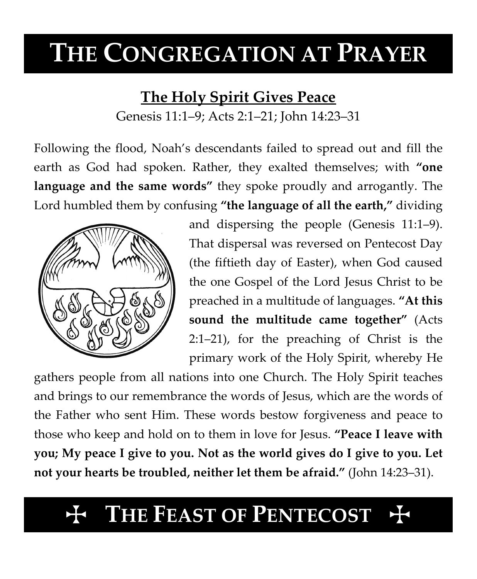# **THE CONGREGATION AT PRAYER**

### **The Holy Spirit Gives Peace**

Genesis 11:1–9; Acts 2:1–21; John 14:23–31

Following the flood, Noah's descendants failed to spread out and fill the earth as God had spoken. Rather, they exalted themselves; with **"one language and the same words"** they spoke proudly and arrogantly. The Lord humbled them by confusing **"the language of all the earth,"** dividing



and dispersing the people (Genesis 11:1–9). That dispersal was reversed on Pentecost Day (the fiftieth day of Easter), when God caused the one Gospel of the Lord Jesus Christ to be preached in a multitude of languages. **"At this sound the multitude came together"** (Acts 2:1–21), for the preaching of Christ is the primary work of the Holy Spirit, whereby He

gathers people from all nations into one Church. The Holy Spirit teaches and brings to our remembrance the words of Jesus, which are the words of the Father who sent Him. These words bestow forgiveness and peace to those who keep and hold on to them in love for Jesus. **"Peace I leave with you; My peace I give to you. Not as the world gives do I give to you. Let not your hearts be troubled, neither let them be afraid."** (John 14:23–31).

## **THE FEAST OF PENTECOST**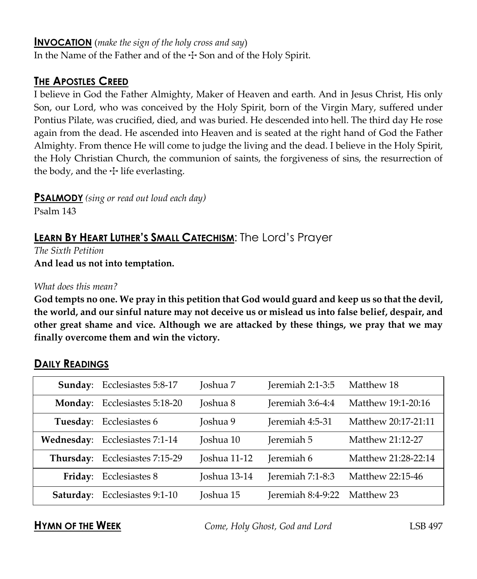#### **INVOCATION** (*make the sign of the holy cross and say*)

In the Name of the Father and of the  $\pm$  Son and of the Holy Spirit.

#### **THE APOSTLES CREED**

I believe in God the Father Almighty, Maker of Heaven and earth. And in Jesus Christ, His only Son, our Lord, who was conceived by the Holy Spirit, born of the Virgin Mary, suffered under Pontius Pilate, was crucified, died, and was buried. He descended into hell. The third day He rose again from the dead. He ascended into Heaven and is seated at the right hand of God the Father Almighty. From thence He will come to judge the living and the dead. I believe in the Holy Spirit, the Holy Christian Church, the communion of saints, the forgiveness of sins, the resurrection of the body, and the  $\pm$  life everlasting.

**PSALMODY** *(sing or read out loud each day)*

Psalm 143

### **LEARN BY HEART LUTHER'S SMALL CATECHISM**: The Lord's Prayer

*The Sixth Petition* **And lead us not into temptation.**

#### *What does this mean?*

**God tempts no one. We pray in this petition that God would guard and keep us so that the devil, the world, and our sinful nature may not deceive us or mislead us into false belief, despair, and other great shame and vice. Although we are attacked by these things, we pray that we may finally overcome them and win the victory.**

|                | Sunday: Ecclesiastes 5:8-17    | Joshua 7     | Jeremiah 2:1-3:5  | Matthew 18          |
|----------------|--------------------------------|--------------|-------------------|---------------------|
| <b>Monday:</b> | Ecclesiastes 5:18-20           | Joshua 8     | Jeremiah 3:6-4:4  | Matthew 19:1-20:16  |
| Tuesday:       | Ecclesiastes 6                 | Joshua 9     | Jeremiah 4:5-31   | Matthew 20:17-21:11 |
|                | Wednesday: Ecclesiastes 7:1-14 | Joshua 10    | Jeremiah 5        | Matthew 21:12-27    |
| Thursday:      | Ecclesiastes 7:15-29           | Joshua 11-12 | Jeremiah 6        | Matthew 21:28-22:14 |
|                | Friday: Ecclesiastes 8         | Joshua 13-14 | Jeremiah 7:1-8:3  | Matthew 22:15-46    |
| Saturday:      | Ecclesiastes 9:1-10            | Joshua 15    | Jeremiah 8:4-9:22 | Matthew 23          |

#### **DAILY READINGS**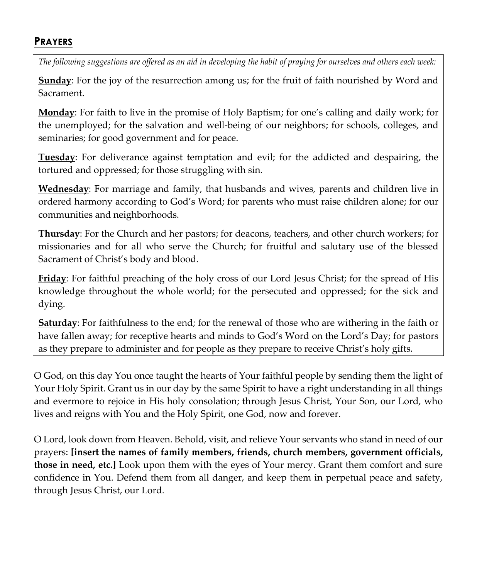#### **PRAYERS**

*The following suggestions are offered as an aid in developing the habit of praying for ourselves and others each week:*

**Sunday**: For the joy of the resurrection among us; for the fruit of faith nourished by Word and Sacrament.

**Monday**: For faith to live in the promise of Holy Baptism; for one's calling and daily work; for the unemployed; for the salvation and well-being of our neighbors; for schools, colleges, and seminaries; for good government and for peace.

**Tuesday**: For deliverance against temptation and evil; for the addicted and despairing, the tortured and oppressed; for those struggling with sin.

**Wednesday**: For marriage and family, that husbands and wives, parents and children live in ordered harmony according to God's Word; for parents who must raise children alone; for our communities and neighborhoods.

**Thursday**: For the Church and her pastors; for deacons, teachers, and other church workers; for missionaries and for all who serve the Church; for fruitful and salutary use of the blessed Sacrament of Christ's body and blood.

**Friday**: For faithful preaching of the holy cross of our Lord Jesus Christ; for the spread of His knowledge throughout the whole world; for the persecuted and oppressed; for the sick and dying.

**Saturday**: For faithfulness to the end; for the renewal of those who are withering in the faith or have fallen away; for receptive hearts and minds to God's Word on the Lord's Day; for pastors as they prepare to administer and for people as they prepare to receive Christ's holy gifts.

O God, on this day You once taught the hearts of Your faithful people by sending them the light of Your Holy Spirit. Grant us in our day by the same Spirit to have a right understanding in all things and evermore to rejoice in His holy consolation; through Jesus Christ, Your Son, our Lord, who lives and reigns with You and the Holy Spirit, one God, now and forever.

O Lord, look down from Heaven. Behold, visit, and relieve Your servants who stand in need of our prayers: **[insert the names of family members, friends, church members, government officials, those in need, etc.]** Look upon them with the eyes of Your mercy. Grant them comfort and sure confidence in You. Defend them from all danger, and keep them in perpetual peace and safety, through Jesus Christ, our Lord.